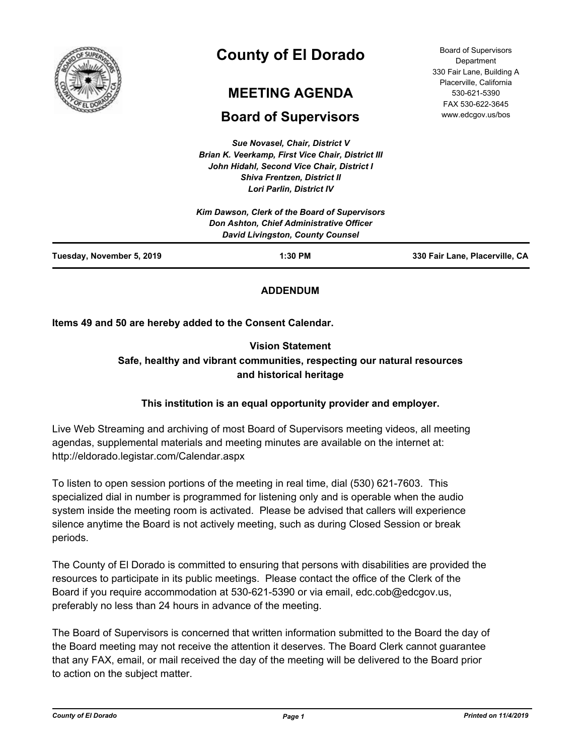

# **County of El Dorado**

# **MEETING AGENDA**

# **Board of Supervisors**

*Sue Novasel, Chair, District V Brian K. Veerkamp, First Vice Chair, District III John Hidahl, Second Vice Chair, District I Shiva Frentzen, District II Lori Parlin, District IV*

| <b>Board of Supervisors</b> |
|-----------------------------|
| Department                  |
| 330 Fair Lane, Building A   |
| Placerville, California     |
| 530-621-5390                |
| FAX 530-622-3645            |
| www.edcgov.us/bos           |

| Tuesday, November 5, 2019 | $1:30$ PM                                                                    | 330 Fair Lane, Placerville, CA |
|---------------------------|------------------------------------------------------------------------------|--------------------------------|
|                           | Don Ashton, Chief Administrative Officer<br>David Livingston, County Counsel |                                |
|                           | Kim Dawson, Clerk of the Board of Supervisors                                |                                |

# **ADDENDUM**

**Items 49 and 50 are hereby added to the Consent Calendar.**

# **Vision Statement Safe, healthy and vibrant communities, respecting our natural resources and historical heritage**

# **This institution is an equal opportunity provider and employer.**

Live Web Streaming and archiving of most Board of Supervisors meeting videos, all meeting agendas, supplemental materials and meeting minutes are available on the internet at: http://eldorado.legistar.com/Calendar.aspx

To listen to open session portions of the meeting in real time, dial (530) 621-7603. This specialized dial in number is programmed for listening only and is operable when the audio system inside the meeting room is activated. Please be advised that callers will experience silence anytime the Board is not actively meeting, such as during Closed Session or break periods.

The County of El Dorado is committed to ensuring that persons with disabilities are provided the resources to participate in its public meetings. Please contact the office of the Clerk of the Board if you require accommodation at 530-621-5390 or via email, edc.cob@edcgov.us, preferably no less than 24 hours in advance of the meeting.

The Board of Supervisors is concerned that written information submitted to the Board the day of the Board meeting may not receive the attention it deserves. The Board Clerk cannot guarantee that any FAX, email, or mail received the day of the meeting will be delivered to the Board prior to action on the subject matter.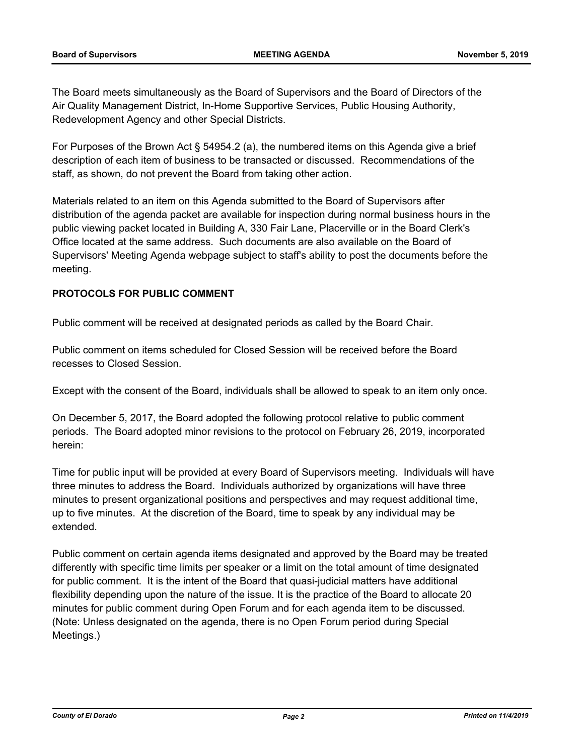The Board meets simultaneously as the Board of Supervisors and the Board of Directors of the Air Quality Management District, In-Home Supportive Services, Public Housing Authority, Redevelopment Agency and other Special Districts.

For Purposes of the Brown Act § 54954.2 (a), the numbered items on this Agenda give a brief description of each item of business to be transacted or discussed. Recommendations of the staff, as shown, do not prevent the Board from taking other action.

Materials related to an item on this Agenda submitted to the Board of Supervisors after distribution of the agenda packet are available for inspection during normal business hours in the public viewing packet located in Building A, 330 Fair Lane, Placerville or in the Board Clerk's Office located at the same address. Such documents are also available on the Board of Supervisors' Meeting Agenda webpage subject to staff's ability to post the documents before the meeting.

# **PROTOCOLS FOR PUBLIC COMMENT**

Public comment will be received at designated periods as called by the Board Chair.

Public comment on items scheduled for Closed Session will be received before the Board recesses to Closed Session.

Except with the consent of the Board, individuals shall be allowed to speak to an item only once.

On December 5, 2017, the Board adopted the following protocol relative to public comment periods. The Board adopted minor revisions to the protocol on February 26, 2019, incorporated herein:

Time for public input will be provided at every Board of Supervisors meeting. Individuals will have three minutes to address the Board. Individuals authorized by organizations will have three minutes to present organizational positions and perspectives and may request additional time, up to five minutes. At the discretion of the Board, time to speak by any individual may be extended.

Public comment on certain agenda items designated and approved by the Board may be treated differently with specific time limits per speaker or a limit on the total amount of time designated for public comment. It is the intent of the Board that quasi-judicial matters have additional flexibility depending upon the nature of the issue. It is the practice of the Board to allocate 20 minutes for public comment during Open Forum and for each agenda item to be discussed. (Note: Unless designated on the agenda, there is no Open Forum period during Special Meetings.)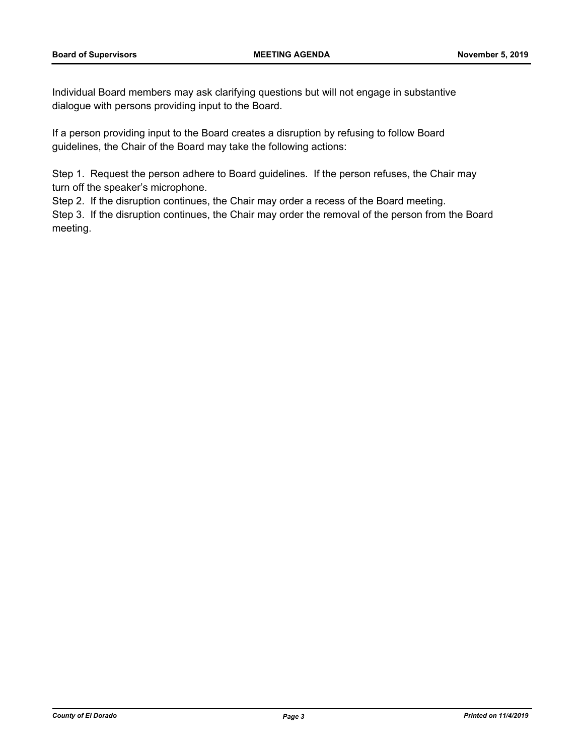Individual Board members may ask clarifying questions but will not engage in substantive dialogue with persons providing input to the Board.

If a person providing input to the Board creates a disruption by refusing to follow Board guidelines, the Chair of the Board may take the following actions:

Step 1. Request the person adhere to Board guidelines. If the person refuses, the Chair may turn off the speaker's microphone.

Step 2. If the disruption continues, the Chair may order a recess of the Board meeting.

Step 3. If the disruption continues, the Chair may order the removal of the person from the Board meeting.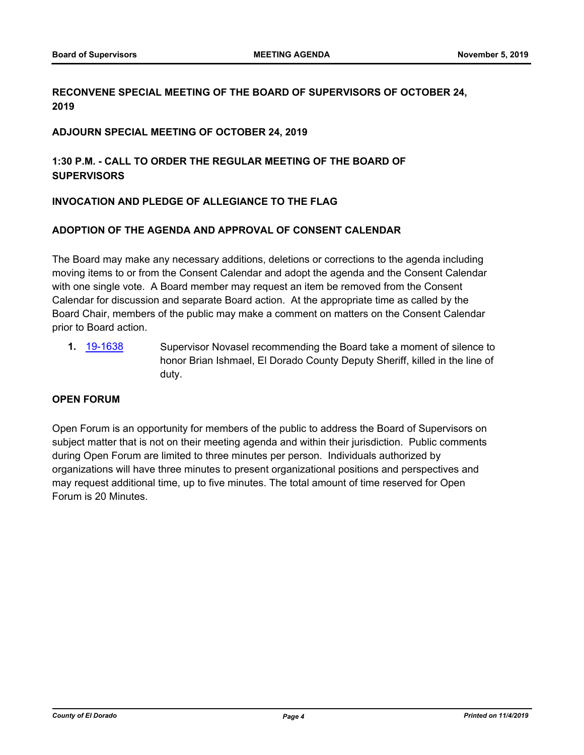# **RECONVENE SPECIAL MEETING OF THE BOARD OF SUPERVISORS OF OCTOBER 24, 2019**

### **ADJOURN SPECIAL MEETING OF OCTOBER 24, 2019**

# **1:30 P.M. - CALL TO ORDER THE REGULAR MEETING OF THE BOARD OF SUPERVISORS**

# **INVOCATION AND PLEDGE OF ALLEGIANCE TO THE FLAG**

## **ADOPTION OF THE AGENDA AND APPROVAL OF CONSENT CALENDAR**

The Board may make any necessary additions, deletions or corrections to the agenda including moving items to or from the Consent Calendar and adopt the agenda and the Consent Calendar with one single vote. A Board member may request an item be removed from the Consent Calendar for discussion and separate Board action. At the appropriate time as called by the Board Chair, members of the public may make a comment on matters on the Consent Calendar prior to Board action.

**1.** [19-1638](http://eldorado.legistar.com/gateway.aspx?m=l&id=/matter.aspx?key=26962) Supervisor Novasel recommending the Board take a moment of silence to honor Brian Ishmael, El Dorado County Deputy Sheriff, killed in the line of duty.

# **OPEN FORUM**

Open Forum is an opportunity for members of the public to address the Board of Supervisors on subject matter that is not on their meeting agenda and within their jurisdiction. Public comments during Open Forum are limited to three minutes per person. Individuals authorized by organizations will have three minutes to present organizational positions and perspectives and may request additional time, up to five minutes. The total amount of time reserved for Open Forum is 20 Minutes.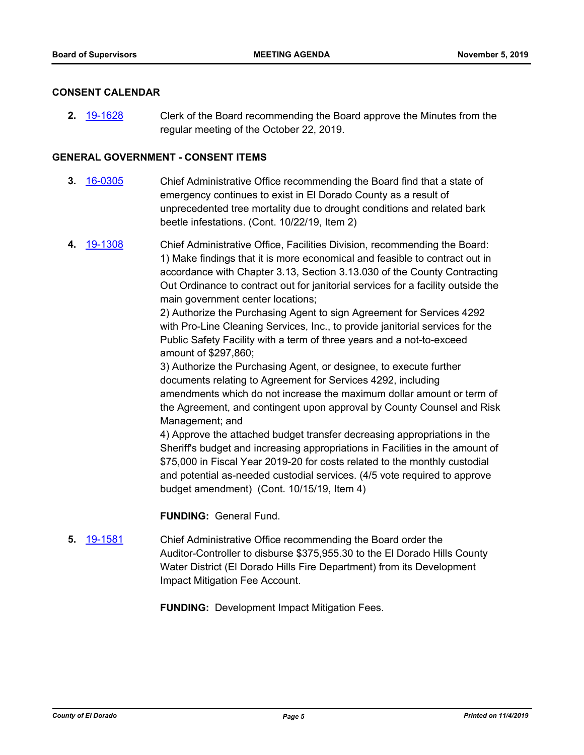#### **CONSENT CALENDAR**

**2.** [19-1628](http://eldorado.legistar.com/gateway.aspx?m=l&id=/matter.aspx?key=26952) Clerk of the Board recommending the Board approve the Minutes from the regular meeting of the October 22, 2019.

### **GENERAL GOVERNMENT - CONSENT ITEMS**

- **3.** [16-0305](http://eldorado.legistar.com/gateway.aspx?m=l&id=/matter.aspx?key=20961) Chief Administrative Office recommending the Board find that a state of emergency continues to exist in El Dorado County as a result of unprecedented tree mortality due to drought conditions and related bark beetle infestations. (Cont. 10/22/19, Item 2)
- **4.** [19-1308](http://eldorado.legistar.com/gateway.aspx?m=l&id=/matter.aspx?key=26630) Chief Administrative Office, Facilities Division, recommending the Board: 1) Make findings that it is more economical and feasible to contract out in accordance with Chapter 3.13, Section 3.13.030 of the County Contracting Out Ordinance to contract out for janitorial services for a facility outside the main government center locations;

2) Authorize the Purchasing Agent to sign Agreement for Services 4292 with Pro-Line Cleaning Services, Inc., to provide janitorial services for the Public Safety Facility with a term of three years and a not-to-exceed amount of \$297,860;

3) Authorize the Purchasing Agent, or designee, to execute further documents relating to Agreement for Services 4292, including amendments which do not increase the maximum dollar amount or term of the Agreement, and contingent upon approval by County Counsel and Risk Management; and

4) Approve the attached budget transfer decreasing appropriations in the Sheriff's budget and increasing appropriations in Facilities in the amount of \$75,000 in Fiscal Year 2019-20 for costs related to the monthly custodial and potential as-needed custodial services. (4/5 vote required to approve budget amendment) (Cont. 10/15/19, Item 4)

**FUNDING:** General Fund.

**5.** [19-1581](http://eldorado.legistar.com/gateway.aspx?m=l&id=/matter.aspx?key=26905) Chief Administrative Office recommending the Board order the Auditor-Controller to disburse \$375,955.30 to the El Dorado Hills County Water District (El Dorado Hills Fire Department) from its Development Impact Mitigation Fee Account.

**FUNDING:** Development Impact Mitigation Fees.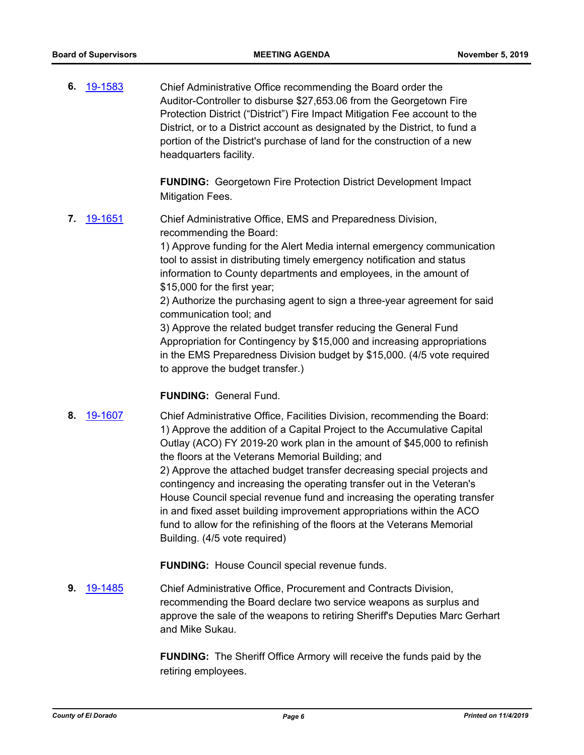**6.** [19-1583](http://eldorado.legistar.com/gateway.aspx?m=l&id=/matter.aspx?key=26907) Chief Administrative Office recommending the Board order the Auditor-Controller to disburse \$27,653.06 from the Georgetown Fire Protection District ("District") Fire Impact Mitigation Fee account to the District, or to a District account as designated by the District, to fund a portion of the District's purchase of land for the construction of a new headquarters facility.

> **FUNDING:** Georgetown Fire Protection District Development Impact Mitigation Fees.

**7.** [19-1651](http://eldorado.legistar.com/gateway.aspx?m=l&id=/matter.aspx?key=26975) Chief Administrative Office, EMS and Preparedness Division, recommending the Board:

> 1) Approve funding for the Alert Media internal emergency communication tool to assist in distributing timely emergency notification and status information to County departments and employees, in the amount of \$15,000 for the first year;

> 2) Authorize the purchasing agent to sign a three-year agreement for said communication tool; and

3) Approve the related budget transfer reducing the General Fund Appropriation for Contingency by \$15,000 and increasing appropriations in the EMS Preparedness Division budget by \$15,000. (4/5 vote required to approve the budget transfer.)

#### **FUNDING:** General Fund.

**8.** [19-1607](http://eldorado.legistar.com/gateway.aspx?m=l&id=/matter.aspx?key=26931) Chief Administrative Office, Facilities Division, recommending the Board: 1) Approve the addition of a Capital Project to the Accumulative Capital Outlay (ACO) FY 2019-20 work plan in the amount of \$45,000 to refinish the floors at the Veterans Memorial Building; and 2) Approve the attached budget transfer decreasing special projects and contingency and increasing the operating transfer out in the Veteran's House Council special revenue fund and increasing the operating transfer in and fixed asset building improvement appropriations within the ACO fund to allow for the refinishing of the floors at the Veterans Memorial Building. (4/5 vote required)

**FUNDING:** House Council special revenue funds.

**9.** [19-1485](http://eldorado.legistar.com/gateway.aspx?m=l&id=/matter.aspx?key=26806) Chief Administrative Office, Procurement and Contracts Division, recommending the Board declare two service weapons as surplus and approve the sale of the weapons to retiring Sheriff's Deputies Marc Gerhart and Mike Sukau.

> **FUNDING:** The Sheriff Office Armory will receive the funds paid by the retiring employees.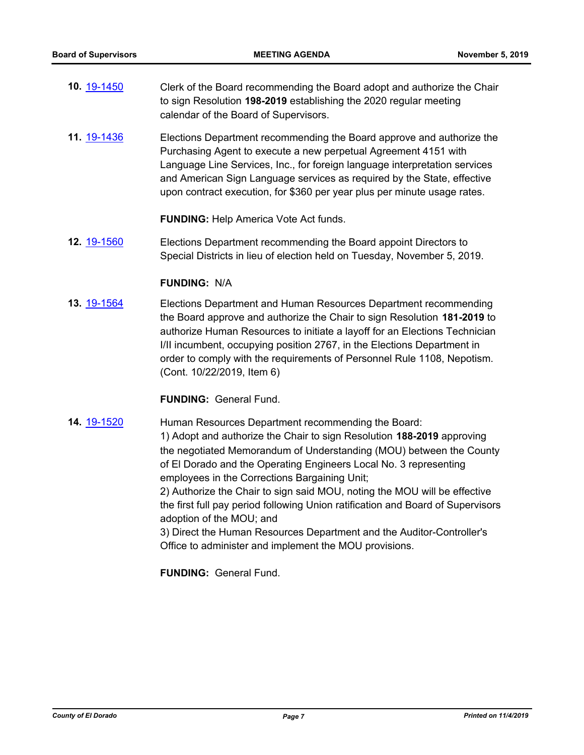- **10.** [19-1450](http://eldorado.legistar.com/gateway.aspx?m=l&id=/matter.aspx?key=26771) Clerk of the Board recommending the Board adopt and authorize the Chair to sign Resolution **198-2019** establishing the 2020 regular meeting calendar of the Board of Supervisors.
- **11.** [19-1436](http://eldorado.legistar.com/gateway.aspx?m=l&id=/matter.aspx?key=26757) Elections Department recommending the Board approve and authorize the Purchasing Agent to execute a new perpetual Agreement 4151 with Language Line Services, Inc., for foreign language interpretation services and American Sign Language services as required by the State, effective upon contract execution, for \$360 per year plus per minute usage rates.

**FUNDING:** Help America Vote Act funds.

**12.** [19-1560](http://eldorado.legistar.com/gateway.aspx?m=l&id=/matter.aspx?key=26884) Elections Department recommending the Board appoint Directors to Special Districts in lieu of election held on Tuesday, November 5, 2019.

## **FUNDING:** N/A

**13.** [19-1564](http://eldorado.legistar.com/gateway.aspx?m=l&id=/matter.aspx?key=26888) Elections Department and Human Resources Department recommending the Board approve and authorize the Chair to sign Resolution **181-2019** to authorize Human Resources to initiate a layoff for an Elections Technician I/II incumbent, occupying position 2767, in the Elections Department in order to comply with the requirements of Personnel Rule 1108, Nepotism. (Cont. 10/22/2019, Item 6)

## **FUNDING:** General Fund.

**14.** [19-1520](http://eldorado.legistar.com/gateway.aspx?m=l&id=/matter.aspx?key=26842) Human Resources Department recommending the Board: 1) Adopt and authorize the Chair to sign Resolution **188-2019** approving the negotiated Memorandum of Understanding (MOU) between the County of El Dorado and the Operating Engineers Local No. 3 representing employees in the Corrections Bargaining Unit; 2) Authorize the Chair to sign said MOU, noting the MOU will be effective

the first full pay period following Union ratification and Board of Supervisors adoption of the MOU; and

3) Direct the Human Resources Department and the Auditor-Controller's Office to administer and implement the MOU provisions.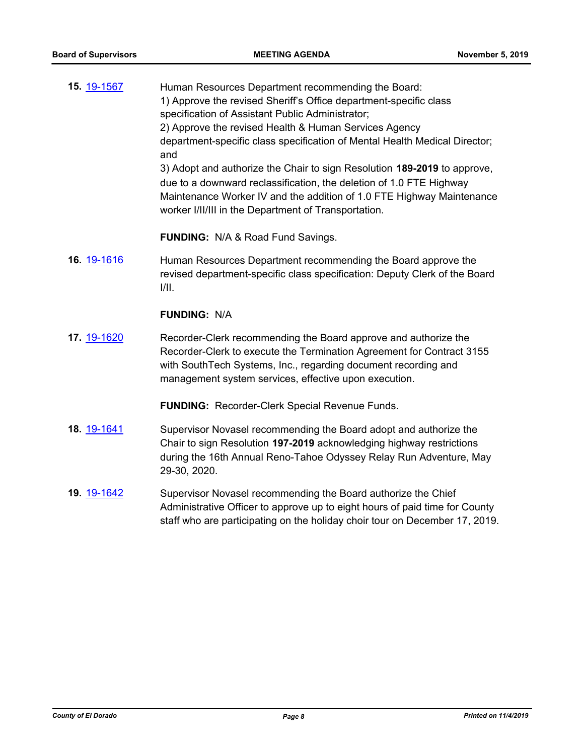| 15. 19-1567 | Human Resources Department recommending the Board:<br>1) Approve the revised Sheriff's Office department-specific class<br>specification of Assistant Public Administrator;<br>2) Approve the revised Health & Human Services Agency<br>department-specific class specification of Mental Health Medical Director;<br>and<br>3) Adopt and authorize the Chair to sign Resolution 189-2019 to approve,<br>due to a downward reclassification, the deletion of 1.0 FTE Highway<br>Maintenance Worker IV and the addition of 1.0 FTE Highway Maintenance<br>worker I/II/III in the Department of Transportation. |
|-------------|---------------------------------------------------------------------------------------------------------------------------------------------------------------------------------------------------------------------------------------------------------------------------------------------------------------------------------------------------------------------------------------------------------------------------------------------------------------------------------------------------------------------------------------------------------------------------------------------------------------|
|             | FUNDING: N/A & Road Fund Savings.                                                                                                                                                                                                                                                                                                                                                                                                                                                                                                                                                                             |
| 16. 19-1616 | Human Resources Department recommending the Board approve the<br>revised department-specific class specification: Deputy Clerk of the Board<br>III.                                                                                                                                                                                                                                                                                                                                                                                                                                                           |
|             | <b>FUNDING: N/A</b>                                                                                                                                                                                                                                                                                                                                                                                                                                                                                                                                                                                           |
| 17. 19-1620 | Recorder-Clerk recommending the Board approve and authorize the<br>Recorder-Clerk to execute the Termination Agreement for Contract 3155<br>with SouthTech Systems, Inc., regarding document recording and<br>management system services, effective upon execution.                                                                                                                                                                                                                                                                                                                                           |
|             | <b>FUNDING: Recorder-Clerk Special Revenue Funds.</b>                                                                                                                                                                                                                                                                                                                                                                                                                                                                                                                                                         |
| 18. 19-1641 | Supervisor Novasel recommending the Board adopt and authorize the<br>Chair to sign Resolution 197-2019 acknowledging highway restrictions<br>during the 16th Annual Reno-Tahoe Odyssey Relay Run Adventure, May<br>29-30, 2020.                                                                                                                                                                                                                                                                                                                                                                               |
| 19. 19-1642 | Supervisor Novasel recommending the Board authorize the Chief<br>Administrative Officer to approve up to eight hours of paid time for County                                                                                                                                                                                                                                                                                                                                                                                                                                                                  |

staff who are participating on the holiday choir tour on December 17, 2019.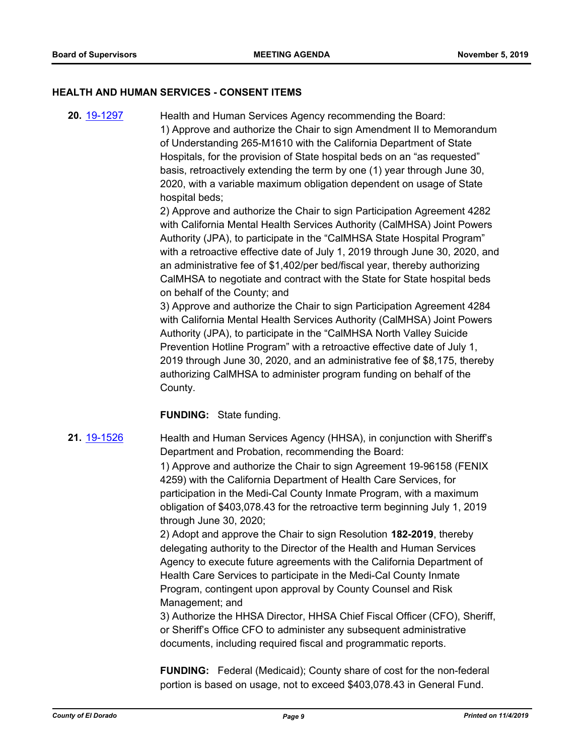#### **HEALTH AND HUMAN SERVICES - CONSENT ITEMS**

**20.** [19-1297](http://eldorado.legistar.com/gateway.aspx?m=l&id=/matter.aspx?key=26619) Health and Human Services Agency recommending the Board: 1) Approve and authorize the Chair to sign Amendment II to Memorandum of Understanding 265-M1610 with the California Department of State Hospitals, for the provision of State hospital beds on an "as requested" basis, retroactively extending the term by one (1) year through June 30, 2020, with a variable maximum obligation dependent on usage of State hospital beds;

2) Approve and authorize the Chair to sign Participation Agreement 4282 with California Mental Health Services Authority (CalMHSA) Joint Powers Authority (JPA), to participate in the "CalMHSA State Hospital Program" with a retroactive effective date of July 1, 2019 through June 30, 2020, and an administrative fee of \$1,402/per bed/fiscal year, thereby authorizing CalMHSA to negotiate and contract with the State for State hospital beds on behalf of the County; and

3) Approve and authorize the Chair to sign Participation Agreement 4284 with California Mental Health Services Authority (CalMHSA) Joint Powers Authority (JPA), to participate in the "CalMHSA North Valley Suicide Prevention Hotline Program" with a retroactive effective date of July 1, 2019 through June 30, 2020, and an administrative fee of \$8,175, thereby authorizing CalMHSA to administer program funding on behalf of the County.

## **FUNDING:** State funding.

**21.** [19-1526](http://eldorado.legistar.com/gateway.aspx?m=l&id=/matter.aspx?key=26848) Health and Human Services Agency (HHSA), in conjunction with Sheriff's Department and Probation, recommending the Board:

> 1) Approve and authorize the Chair to sign Agreement 19-96158 (FENIX 4259) with the California Department of Health Care Services, for participation in the Medi-Cal County Inmate Program, with a maximum obligation of \$403,078.43 for the retroactive term beginning July 1, 2019 through June 30, 2020;

2) Adopt and approve the Chair to sign Resolution **182-2019**, thereby delegating authority to the Director of the Health and Human Services Agency to execute future agreements with the California Department of Health Care Services to participate in the Medi-Cal County Inmate Program, contingent upon approval by County Counsel and Risk Management; and

3) Authorize the HHSA Director, HHSA Chief Fiscal Officer (CFO), Sheriff, or Sheriff's Office CFO to administer any subsequent administrative documents, including required fiscal and programmatic reports.

**FUNDING:** Federal (Medicaid); County share of cost for the non-federal portion is based on usage, not to exceed \$403,078.43 in General Fund.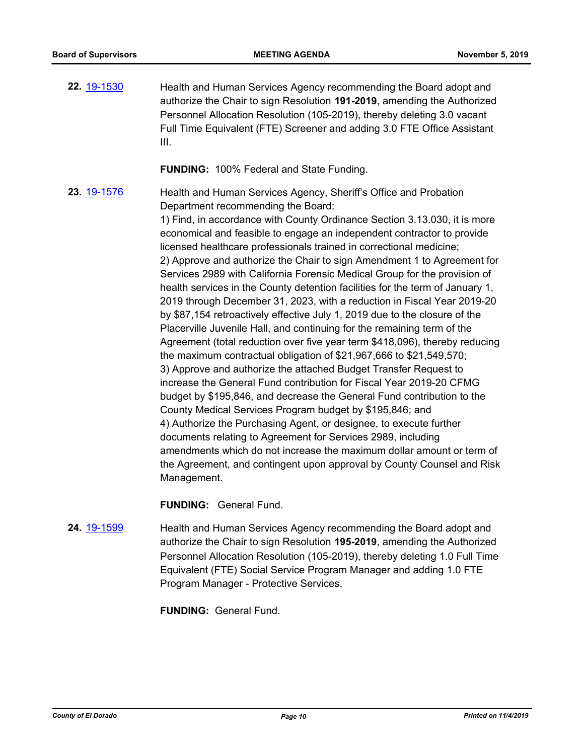**22.** [19-1530](http://eldorado.legistar.com/gateway.aspx?m=l&id=/matter.aspx?key=26852) Health and Human Services Agency recommending the Board adopt and authorize the Chair to sign Resolution **191-2019**, amending the Authorized Personnel Allocation Resolution (105-2019), thereby deleting 3.0 vacant Full Time Equivalent (FTE) Screener and adding 3.0 FTE Office Assistant III.

**FUNDING:** 100% Federal and State Funding.

**23.** [19-1576](http://eldorado.legistar.com/gateway.aspx?m=l&id=/matter.aspx?key=26900) Health and Human Services Agency, Sheriff's Office and Probation Department recommending the Board:

> 1) Find, in accordance with County Ordinance Section 3.13.030, it is more economical and feasible to engage an independent contractor to provide licensed healthcare professionals trained in correctional medicine; 2) Approve and authorize the Chair to sign Amendment 1 to Agreement for Services 2989 with California Forensic Medical Group for the provision of health services in the County detention facilities for the term of January 1, 2019 through December 31, 2023, with a reduction in Fiscal Year 2019-20 by \$87,154 retroactively effective July 1, 2019 due to the closure of the Placerville Juvenile Hall, and continuing for the remaining term of the Agreement (total reduction over five year term \$418,096), thereby reducing the maximum contractual obligation of \$21,967,666 to \$21,549,570; 3) Approve and authorize the attached Budget Transfer Request to increase the General Fund contribution for Fiscal Year 2019-20 CFMG budget by \$195,846, and decrease the General Fund contribution to the County Medical Services Program budget by \$195,846; and 4) Authorize the Purchasing Agent, or designee, to execute further documents relating to Agreement for Services 2989, including amendments which do not increase the maximum dollar amount or term of the Agreement, and contingent upon approval by County Counsel and Risk Management.

**FUNDING:** General Fund.

**24.** [19-1599](http://eldorado.legistar.com/gateway.aspx?m=l&id=/matter.aspx?key=26923) Health and Human Services Agency recommending the Board adopt and authorize the Chair to sign Resolution **195-2019**, amending the Authorized Personnel Allocation Resolution (105-2019), thereby deleting 1.0 Full Time Equivalent (FTE) Social Service Program Manager and adding 1.0 FTE Program Manager - Protective Services.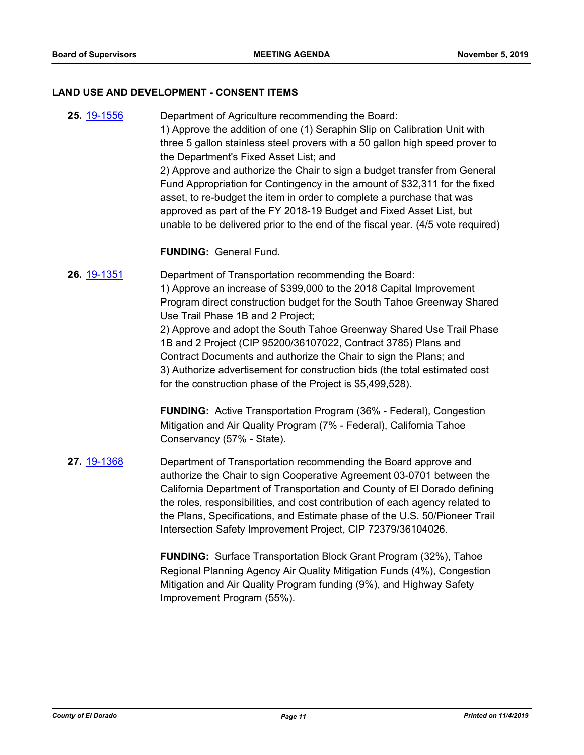#### **LAND USE AND DEVELOPMENT - CONSENT ITEMS**

**25.** [19-1556](http://eldorado.legistar.com/gateway.aspx?m=l&id=/matter.aspx?key=26880) Department of Agriculture recommending the Board: 1) Approve the addition of one (1) Seraphin Slip on Calibration Unit with three 5 gallon stainless steel provers with a 50 gallon high speed prover to the Department's Fixed Asset List; and 2) Approve and authorize the Chair to sign a budget transfer from General Fund Appropriation for Contingency in the amount of \$32,311 for the fixed asset, to re-budget the item in order to complete a purchase that was approved as part of the FY 2018-19 Budget and Fixed Asset List, but unable to be delivered prior to the end of the fiscal year. (4/5 vote required)

**FUNDING:** General Fund.

**26.** [19-1351](http://eldorado.legistar.com/gateway.aspx?m=l&id=/matter.aspx?key=26672) Department of Transportation recommending the Board: 1) Approve an increase of \$399,000 to the 2018 Capital Improvement Program direct construction budget for the South Tahoe Greenway Shared Use Trail Phase 1B and 2 Project; 2) Approve and adopt the South Tahoe Greenway Shared Use Trail Phase 1B and 2 Project (CIP 95200/36107022, Contract 3785) Plans and Contract Documents and authorize the Chair to sign the Plans; and 3) Authorize advertisement for construction bids (the total estimated cost for the construction phase of the Project is \$5,499,528).

> **FUNDING:** Active Transportation Program (36% - Federal), Congestion Mitigation and Air Quality Program (7% - Federal), California Tahoe Conservancy (57% - State).

**27.** [19-1368](http://eldorado.legistar.com/gateway.aspx?m=l&id=/matter.aspx?key=26689) Department of Transportation recommending the Board approve and authorize the Chair to sign Cooperative Agreement 03-0701 between the California Department of Transportation and County of El Dorado defining the roles, responsibilities, and cost contribution of each agency related to the Plans, Specifications, and Estimate phase of the U.S. 50/Pioneer Trail Intersection Safety Improvement Project, CIP 72379/36104026.

> **FUNDING:** Surface Transportation Block Grant Program (32%), Tahoe Regional Planning Agency Air Quality Mitigation Funds (4%), Congestion Mitigation and Air Quality Program funding (9%), and Highway Safety Improvement Program (55%).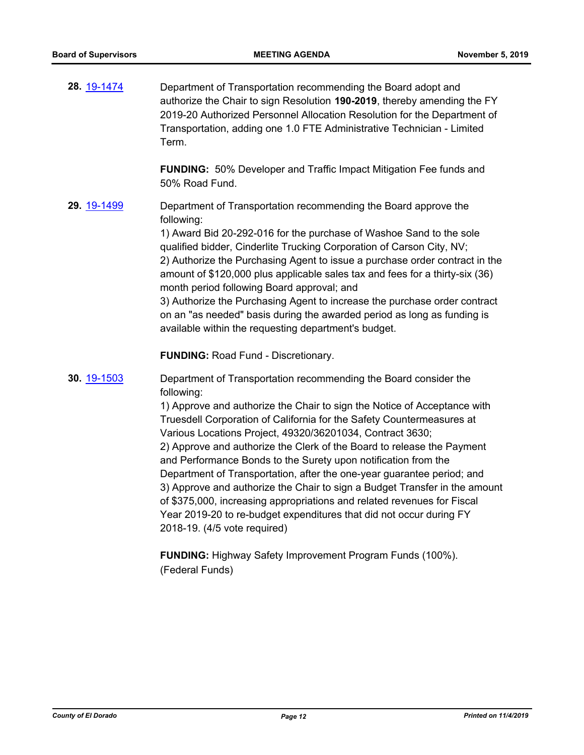| 28. 19-1474 | Department of Transportation recommending the Board adopt and<br>authorize the Chair to sign Resolution 190-2019, thereby amending the FY<br>2019-20 Authorized Personnel Allocation Resolution for the Department of<br>Transportation, adding one 1.0 FTE Administrative Technician - Limited<br>Term.                                                                                                                                                                                                                                                                                                                                                                                                                                                                               |
|-------------|----------------------------------------------------------------------------------------------------------------------------------------------------------------------------------------------------------------------------------------------------------------------------------------------------------------------------------------------------------------------------------------------------------------------------------------------------------------------------------------------------------------------------------------------------------------------------------------------------------------------------------------------------------------------------------------------------------------------------------------------------------------------------------------|
|             | FUNDING: 50% Developer and Traffic Impact Mitigation Fee funds and<br>50% Road Fund.                                                                                                                                                                                                                                                                                                                                                                                                                                                                                                                                                                                                                                                                                                   |
| 29. 19-1499 | Department of Transportation recommending the Board approve the<br>following:<br>1) Award Bid 20-292-016 for the purchase of Washoe Sand to the sole<br>qualified bidder, Cinderlite Trucking Corporation of Carson City, NV;<br>2) Authorize the Purchasing Agent to issue a purchase order contract in the<br>amount of \$120,000 plus applicable sales tax and fees for a thirty-six (36)<br>month period following Board approval; and<br>3) Authorize the Purchasing Agent to increase the purchase order contract<br>on an "as needed" basis during the awarded period as long as funding is<br>available within the requesting department's budget.                                                                                                                             |
|             | <b>FUNDING: Road Fund - Discretionary.</b>                                                                                                                                                                                                                                                                                                                                                                                                                                                                                                                                                                                                                                                                                                                                             |
| 30. 19-1503 | Department of Transportation recommending the Board consider the<br>following:<br>1) Approve and authorize the Chair to sign the Notice of Acceptance with<br>Truesdell Corporation of California for the Safety Countermeasures at<br>Various Locations Project, 49320/36201034, Contract 3630;<br>2) Approve and authorize the Clerk of the Board to release the Payment<br>and Performance Bonds to the Surety upon notification from the<br>Department of Transportation, after the one-year guarantee period; and<br>3) Approve and authorize the Chair to sign a Budget Transfer in the amount<br>of \$375,000, increasing appropriations and related revenues for Fiscal<br>Year 2019-20 to re-budget expenditures that did not occur during FY<br>2018-19. (4/5 vote required) |

**FUNDING:** Highway Safety Improvement Program Funds (100%). (Federal Funds)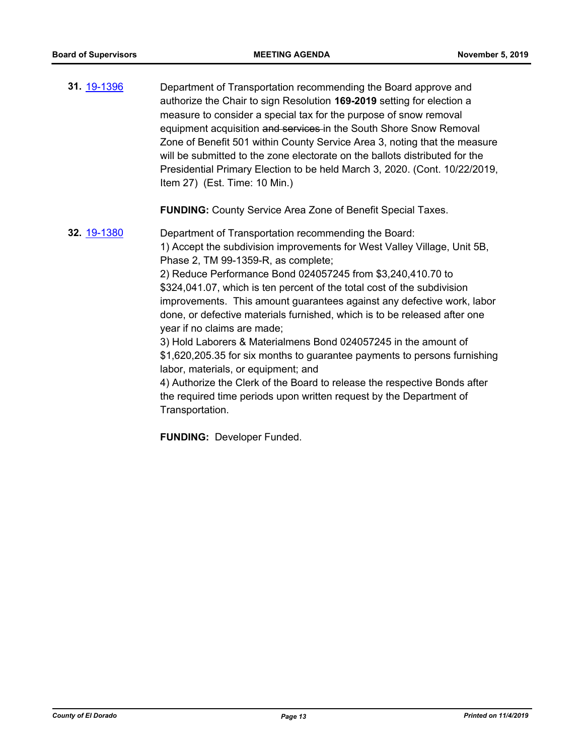**31.** [19-1396](http://eldorado.legistar.com/gateway.aspx?m=l&id=/matter.aspx?key=26717) Department of Transportation recommending the Board approve and authorize the Chair to sign Resolution **169-2019** setting for election a measure to consider a special tax for the purpose of snow removal equipment acquisition and services in the South Shore Snow Removal Zone of Benefit 501 within County Service Area 3, noting that the measure will be submitted to the zone electorate on the ballots distributed for the Presidential Primary Election to be held March 3, 2020. (Cont. 10/22/2019, Item 27) (Est. Time: 10 Min.)

**FUNDING:** County Service Area Zone of Benefit Special Taxes.

**32.** [19-1380](http://eldorado.legistar.com/gateway.aspx?m=l&id=/matter.aspx?key=26701) Department of Transportation recommending the Board: 1) Accept the subdivision improvements for West Valley Village, Unit 5B, Phase 2, TM 99-1359-R, as complete; 2) Reduce Performance Bond 024057245 from \$3,240,410.70 to \$324,041.07, which is ten percent of the total cost of the subdivision improvements. This amount guarantees against any defective work, labor done, or defective materials furnished, which is to be released after one year if no claims are made; 3) Hold Laborers & Materialmens Bond 024057245 in the amount of \$1,620,205.35 for six months to guarantee payments to persons furnishing labor, materials, or equipment; and 4) Authorize the Clerk of the Board to release the respective Bonds after the required time periods upon written request by the Department of Transportation.

**FUNDING:** Developer Funded.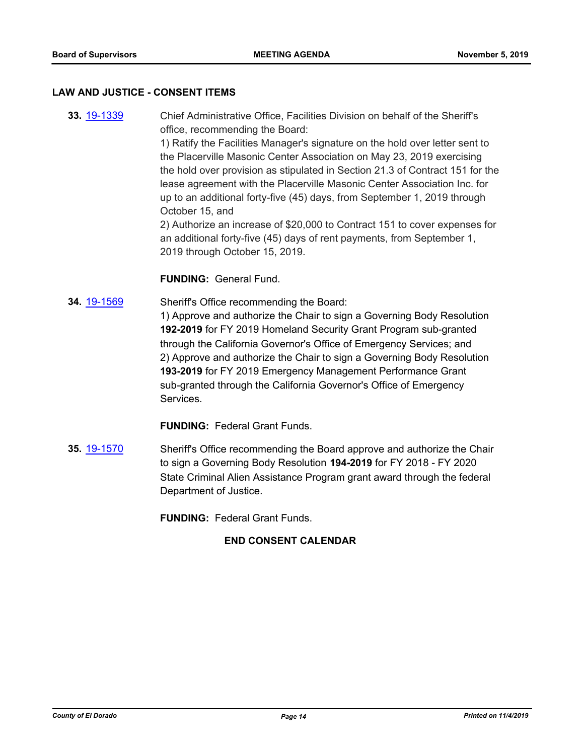#### **LAW AND JUSTICE - CONSENT ITEMS**

**33.** [19-1339](http://eldorado.legistar.com/gateway.aspx?m=l&id=/matter.aspx?key=26660) Chief Administrative Office, Facilities Division on behalf of the Sheriff's office, recommending the Board: 1) Ratify the Facilities Manager's signature on the hold over letter sent to the Placerville Masonic Center Association on May 23, 2019 exercising the hold over provision as stipulated in Section 21.3 of Contract 151 for the lease agreement with the Placerville Masonic Center Association Inc. for up to an additional forty-five (45) days, from September 1, 2019 through October 15, and 2) Authorize an increase of \$20,000 to Contract 151 to cover expenses for an additional forty-five (45) days of rent payments, from September 1,

### **FUNDING:** General Fund.

2019 through October 15, 2019.

**34.** [19-1569](http://eldorado.legistar.com/gateway.aspx?m=l&id=/matter.aspx?key=26893) Sheriff's Office recommending the Board: 1) Approve and authorize the Chair to sign a Governing Body Resolution **192-2019** for FY 2019 Homeland Security Grant Program sub-granted through the California Governor's Office of Emergency Services; and 2) Approve and authorize the Chair to sign a Governing Body Resolution **193-2019** for FY 2019 Emergency Management Performance Grant sub-granted through the California Governor's Office of Emergency Services.

**FUNDING:** Federal Grant Funds.

**35.** [19-1570](http://eldorado.legistar.com/gateway.aspx?m=l&id=/matter.aspx?key=26894) Sheriff's Office recommending the Board approve and authorize the Chair to sign a Governing Body Resolution **194-2019** for FY 2018 - FY 2020 State Criminal Alien Assistance Program grant award through the federal Department of Justice.

**FUNDING:** Federal Grant Funds.

# **END CONSENT CALENDAR**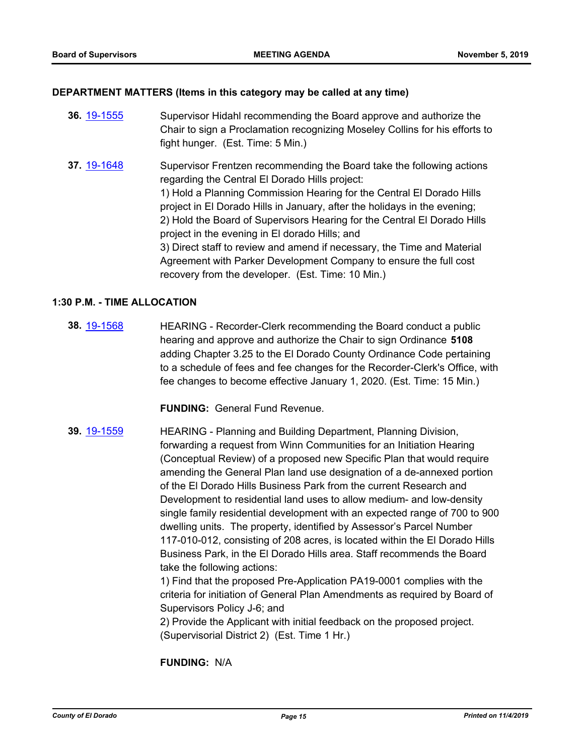### **DEPARTMENT MATTERS (Items in this category may be called at any time)**

- **36.** [19-1555](http://eldorado.legistar.com/gateway.aspx?m=l&id=/matter.aspx?key=26879) Supervisor Hidahl recommending the Board approve and authorize the Chair to sign a Proclamation recognizing Moseley Collins for his efforts to fight hunger. (Est. Time: 5 Min.)
- **37.** [19-1648](http://eldorado.legistar.com/gateway.aspx?m=l&id=/matter.aspx?key=26972) Supervisor Frentzen recommending the Board take the following actions regarding the Central El Dorado Hills project: 1) Hold a Planning Commission Hearing for the Central El Dorado Hills project in El Dorado Hills in January, after the holidays in the evening; 2) Hold the Board of Supervisors Hearing for the Central El Dorado Hills project in the evening in El dorado Hills; and 3) Direct staff to review and amend if necessary, the Time and Material Agreement with Parker Development Company to ensure the full cost recovery from the developer. (Est. Time: 10 Min.)

#### **1:30 P.M. - TIME ALLOCATION**

**38.** [19-1568](http://eldorado.legistar.com/gateway.aspx?m=l&id=/matter.aspx?key=26892) HEARING - Recorder-Clerk recommending the Board conduct a public hearing and approve and authorize the Chair to sign Ordinance **5108** adding Chapter 3.25 to the El Dorado County Ordinance Code pertaining to a schedule of fees and fee changes for the Recorder-Clerk's Office, with fee changes to become effective January 1, 2020. (Est. Time: 15 Min.)

**FUNDING:** General Fund Revenue.

**39.** [19-1559](http://eldorado.legistar.com/gateway.aspx?m=l&id=/matter.aspx?key=26883) HEARING - Planning and Building Department, Planning Division, forwarding a request from Winn Communities for an Initiation Hearing (Conceptual Review) of a proposed new Specific Plan that would require amending the General Plan land use designation of a de-annexed portion of the El Dorado Hills Business Park from the current Research and Development to residential land uses to allow medium- and low-density single family residential development with an expected range of 700 to 900 dwelling units. The property, identified by Assessor's Parcel Number 117-010-012, consisting of 208 acres, is located within the El Dorado Hills Business Park, in the El Dorado Hills area. Staff recommends the Board take the following actions:

1) Find that the proposed Pre-Application PA19-0001 complies with the criteria for initiation of General Plan Amendments as required by Board of Supervisors Policy J-6; and

2) Provide the Applicant with initial feedback on the proposed project. (Supervisorial District 2) (Est. Time 1 Hr.)

**FUNDING:** N/A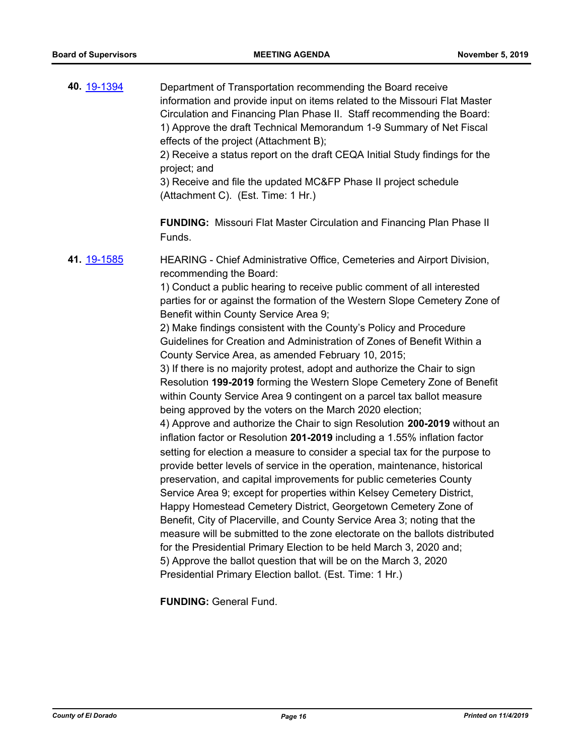| 40. 19-1394 | Department of Transportation recommending the Board receive<br>information and provide input on items related to the Missouri Flat Master<br>Circulation and Financing Plan Phase II. Staff recommending the Board:<br>1) Approve the draft Technical Memorandum 1-9 Summary of Net Fiscal<br>effects of the project (Attachment B);<br>2) Receive a status report on the draft CEQA Initial Study findings for the<br>project; and<br>3) Receive and file the updated MC&FP Phase II project schedule<br>(Attachment C). (Est. Time: 1 Hr.)                                                                                                                                                                                                                                                                                                                                                                                                                                                                                                                                                                                                                                                                                                                                                                                                        |
|-------------|-----------------------------------------------------------------------------------------------------------------------------------------------------------------------------------------------------------------------------------------------------------------------------------------------------------------------------------------------------------------------------------------------------------------------------------------------------------------------------------------------------------------------------------------------------------------------------------------------------------------------------------------------------------------------------------------------------------------------------------------------------------------------------------------------------------------------------------------------------------------------------------------------------------------------------------------------------------------------------------------------------------------------------------------------------------------------------------------------------------------------------------------------------------------------------------------------------------------------------------------------------------------------------------------------------------------------------------------------------|
|             | <b>FUNDING:</b> Missouri Flat Master Circulation and Financing Plan Phase II<br>Funds.                                                                                                                                                                                                                                                                                                                                                                                                                                                                                                                                                                                                                                                                                                                                                                                                                                                                                                                                                                                                                                                                                                                                                                                                                                                              |
| 41. 19-1585 | HEARING - Chief Administrative Office, Cemeteries and Airport Division,<br>recommending the Board:<br>1) Conduct a public hearing to receive public comment of all interested<br>parties for or against the formation of the Western Slope Cemetery Zone of<br>Benefit within County Service Area 9;<br>2) Make findings consistent with the County's Policy and Procedure<br>Guidelines for Creation and Administration of Zones of Benefit Within a<br>County Service Area, as amended February 10, 2015;<br>3) If there is no majority protest, adopt and authorize the Chair to sign<br>Resolution 199-2019 forming the Western Slope Cemetery Zone of Benefit<br>within County Service Area 9 contingent on a parcel tax ballot measure<br>being approved by the voters on the March 2020 election;<br>4) Approve and authorize the Chair to sign Resolution 200-2019 without an<br>inflation factor or Resolution 201-2019 including a 1.55% inflation factor<br>setting for election a measure to consider a special tax for the purpose to<br>provide better levels of service in the operation, maintenance, historical<br>preservation, and capital improvements for public cemeteries County<br>Service Area 9; except for properties within Kelsey Cemetery District,<br>Happy Homestead Cemetery District, Georgetown Cemetery Zone of |
|             | Benefit, City of Placerville, and County Service Area 3; noting that the<br>measure will be submitted to the zone electorate on the ballots distributed<br>for the Presidential Primary Election to be held March 3, 2020 and;<br>5) Approve the ballot question that will be on the March 3, 2020<br>Presidential Primary Election ballot. (Est. Time: 1 Hr.)                                                                                                                                                                                                                                                                                                                                                                                                                                                                                                                                                                                                                                                                                                                                                                                                                                                                                                                                                                                      |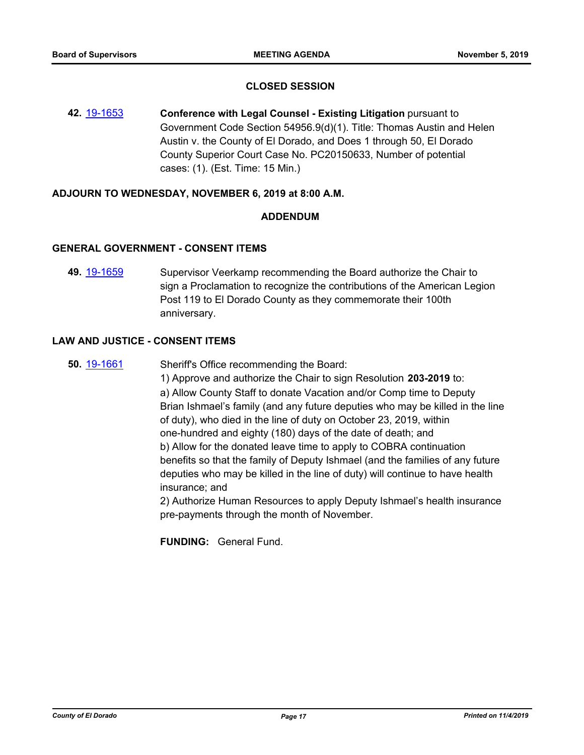### **CLOSED SESSION**

**42.** [19-1653](http://eldorado.legistar.com/gateway.aspx?m=l&id=/matter.aspx?key=26977) **Conference with Legal Counsel - Existing Litigation** pursuant to Government Code Section 54956.9(d)(1). Title: Thomas Austin and Helen Austin v. the County of El Dorado, and Does 1 through 50, El Dorado County Superior Court Case No. PC20150633, Number of potential cases: (1). (Est. Time: 15 Min.)

#### **ADJOURN TO WEDNESDAY, NOVEMBER 6, 2019 at 8:00 A.M.**

#### **ADDENDUM**

# **GENERAL GOVERNMENT - CONSENT ITEMS**

**49.** [19-1659](http://eldorado.legistar.com/gateway.aspx?m=l&id=/matter.aspx?key=26983) Supervisor Veerkamp recommending the Board authorize the Chair to sign a Proclamation to recognize the contributions of the American Legion Post 119 to El Dorado County as they commemorate their 100th anniversary.

#### **LAW AND JUSTICE - CONSENT ITEMS**

**50.** [19-1661](http://eldorado.legistar.com/gateway.aspx?m=l&id=/matter.aspx?key=26985) Sheriff's Office recommending the Board:

1) Approve and authorize the Chair to sign Resolution **203-2019** to: a) Allow County Staff to donate Vacation and/or Comp time to Deputy Brian Ishmael's family (and any future deputies who may be killed in the line of duty), who died in the line of duty on October 23, 2019, within one-hundred and eighty (180) days of the date of death; and b) Allow for the donated leave time to apply to COBRA continuation benefits so that the family of Deputy Ishmael (and the families of any future deputies who may be killed in the line of duty) will continue to have health insurance; and

2) Authorize Human Resources to apply Deputy Ishmael's health insurance pre-payments through the month of November.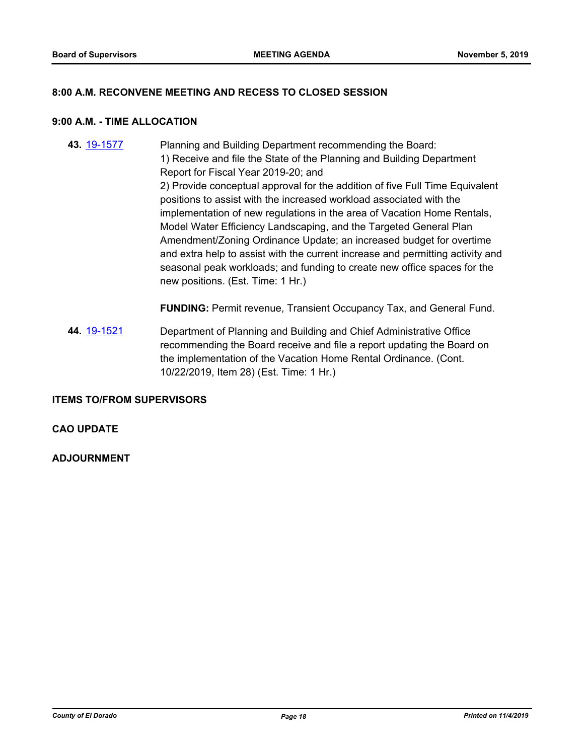#### **8:00 A.M. RECONVENE MEETING AND RECESS TO CLOSED SESSION**

#### **9:00 A.M. - TIME ALLOCATION**

**43.** [19-1577](http://eldorado.legistar.com/gateway.aspx?m=l&id=/matter.aspx?key=26901) Planning and Building Department recommending the Board: 1) Receive and file the State of the Planning and Building Department Report for Fiscal Year 2019-20; and 2) Provide conceptual approval for the addition of five Full Time Equivalent positions to assist with the increased workload associated with the implementation of new regulations in the area of Vacation Home Rentals, Model Water Efficiency Landscaping, and the Targeted General Plan Amendment/Zoning Ordinance Update; an increased budget for overtime and extra help to assist with the current increase and permitting activity and seasonal peak workloads; and funding to create new office spaces for the new positions. (Est. Time: 1 Hr.)

**FUNDING:** Permit revenue, Transient Occupancy Tax, and General Fund.

**44.** [19-1521](http://eldorado.legistar.com/gateway.aspx?m=l&id=/matter.aspx?key=26843) Department of Planning and Building and Chief Administrative Office recommending the Board receive and file a report updating the Board on the implementation of the Vacation Home Rental Ordinance. (Cont. 10/22/2019, Item 28) (Est. Time: 1 Hr.)

#### **ITEMS TO/FROM SUPERVISORS**

#### **CAO UPDATE**

#### **ADJOURNMENT**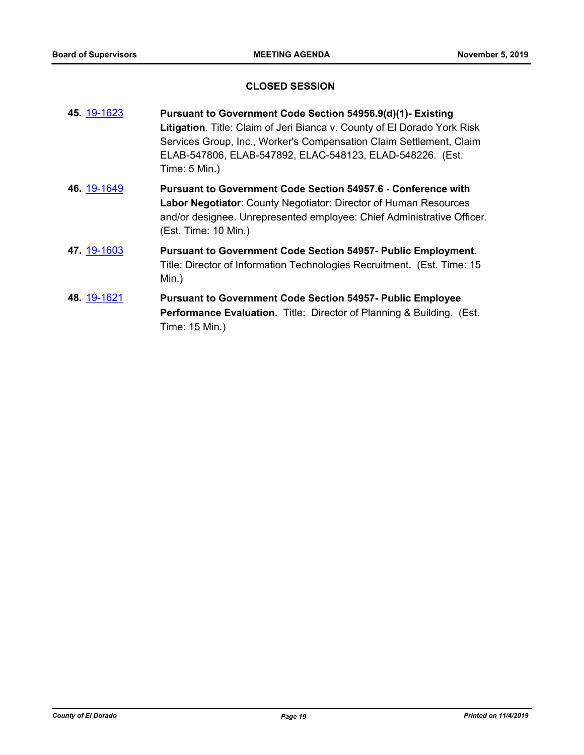# **CLOSED SESSION**

| 45. 19-1623 | Pursuant to Government Code Section 54956.9(d)(1)- Existing<br>Litigation. Title: Claim of Jeri Bianca v. County of El Dorado York Risk<br>Services Group, Inc., Worker's Compensation Claim Settlement, Claim<br>ELAB-547806, ELAB-547892, ELAC-548123, ELAD-548226. (Est.<br>Time: 5 Min.) |
|-------------|----------------------------------------------------------------------------------------------------------------------------------------------------------------------------------------------------------------------------------------------------------------------------------------------|
| 46. 19-1649 | Pursuant to Government Code Section 54957.6 - Conference with<br>Labor Negotiator: County Negotiator: Director of Human Resources<br>and/or designee. Unrepresented employee: Chief Administrative Officer.<br>(Est. Time: 10 Min.)                                                          |
| 47. 19-1603 | <b>Pursuant to Government Code Section 54957- Public Employment.</b><br>Title: Director of Information Technologies Recruitment. (Est. Time: 15<br>$Min.$ )                                                                                                                                  |
| 48. 19-1621 | <b>Pursuant to Government Code Section 54957- Public Employee</b><br><b>Performance Evaluation.</b> Title: Director of Planning & Building. (Est.<br>Time: 15 Min.)                                                                                                                          |